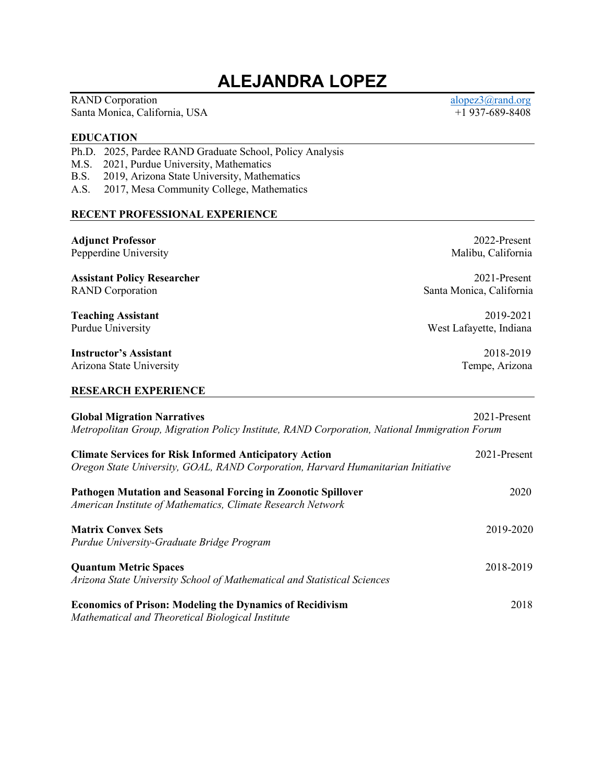# **ALEJANDRA LOPEZ**

RAND Corporation [alopez3@rand.org](mailto:alopez3@rand.org) alopez3@rand.org Santa Monica, California, USA  $+1937-689-8408$ 

#### **EDUCATION**

Ph.D. 2025, Pardee RAND Graduate School, Policy Analysis

- M.S. 2021, Purdue University, Mathematics
- B.S. 2019, Arizona State University, Mathematics
- A.S. 2017, Mesa Community College, Mathematics

#### **RECENT PROFESSIONAL EXPERIENCE**

**Adjunct Professor** 2022-Present Pepperdine University **Malibu, California Assistant Policy Researcher** 2021-Present RAND Corporation Santa Monica, California **Teaching Assistant** 2019-2021 Purdue University **New Strategies** West Lafayette, Indiana **Instructor's Assistant** 2018-2019 Arizona State University **Tempe, Arizona** Tempe, Arizona **RESEARCH EXPERIENCE Global Migration Narratives** 2021-Present *Metropolitan Group, Migration Policy Institute, RAND Corporation, National Immigration Forum*  **Climate Services for Risk Informed Anticipatory Action** 2021-Present *Oregon State University, GOAL, RAND Corporation, Harvard Humanitarian Initiative*  **Pathogen Mutation and Seasonal Forcing in Zoonotic Spillover** 2020 *American Institute of Mathematics, Climate Research Network*  **Matrix Convex Sets** 2019-2020 *Purdue University-Graduate Bridge Program*  **Quantum Metric Spaces** 2018-2019 *Arizona State University School of Mathematical and Statistical Sciences*  **Economics of Prison: Modeling the Dynamics of Recidivism** 2018 *Mathematical and Theoretical Biological Institute*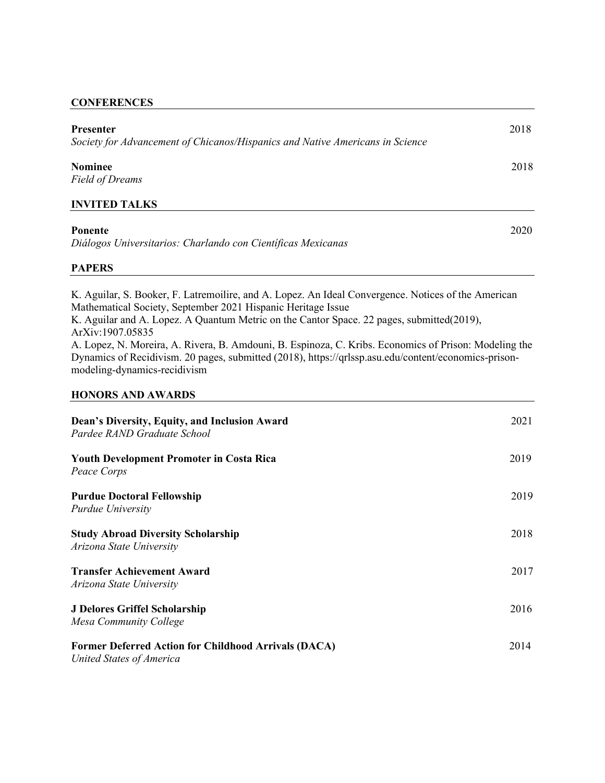## **CONFERENCES**

| Presenter<br>Society for Advancement of Chicanos/Hispanics and Native Americans in Science | 2018 |
|--------------------------------------------------------------------------------------------|------|
| <b>Nominee</b><br><b>Field of Dreams</b>                                                   | 2018 |
| <b>INVITED TALKS</b>                                                                       |      |
| <b>Ponente</b><br>Diálogos Universitarios: Charlando con Científicas Mexicanas             | 2020 |

## **PAPERS**

K. Aguilar, S. Booker, F. Latremoilire, and A. Lopez. An Ideal Convergence. Notices of the American Mathematical Society, September 2021 Hispanic Heritage Issue K. Aguilar and A. Lopez. A Quantum Metric on the Cantor Space. 22 pages, submitted(2019), ArXiv:1907.05835 A. Lopez, N. Moreira, A. Rivera, B. Amdouni, B. Espinoza, C. Kribs. Economics of Prison: Modeling the Dynamics of Recidivism. 20 pages, submitted (2018), https://qrlssp.asu.edu/content/economics-prisonmodeling-dynamics-recidivism

## **HONORS AND AWARDS**

| Dean's Diversity, Equity, and Inclusion Award<br>Pardee RAND Graduate School            | 2021 |
|-----------------------------------------------------------------------------------------|------|
| <b>Youth Development Promoter in Costa Rica</b><br>Peace Corps                          | 2019 |
| <b>Purdue Doctoral Fellowship</b><br>Purdue University                                  | 2019 |
| <b>Study Abroad Diversity Scholarship</b><br>Arizona State University                   | 2018 |
| <b>Transfer Achievement Award</b><br>Arizona State University                           | 2017 |
| <b>J Delores Griffel Scholarship</b><br>Mesa Community College                          | 2016 |
| <b>Former Deferred Action for Childhood Arrivals (DACA)</b><br>United States of America | 2014 |